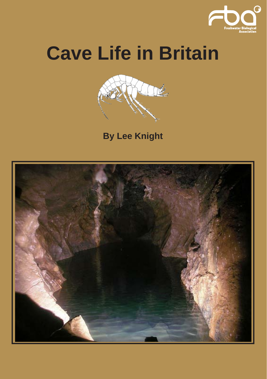

# **Cave Life in Britain**



**By Lee Knight**

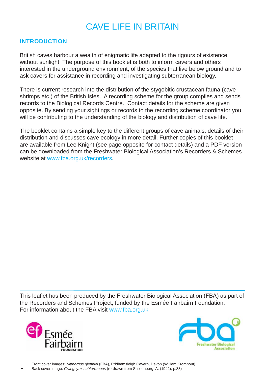## CAVE LIFE IN BRITAIN

#### **INTRODUCTION**

British caves harbour a wealth of enigmatic life adapted to the rigours of existence without sunlight. The purpose of this booklet is both to inform cavers and others interested in the underground environment, of the species that live below ground and to ask cavers for assistance in recording and investigating subterranean biology.

There is current research into the distribution of the stygobitic crustacean fauna (cave shrimps etc.) of the British Isles. A recording scheme for the group compiles and sends records to the Biological Records Centre. Contact details for the scheme are given opposite. By sending your sightings or records to the recording scheme coordinator you will be contributing to the understanding of the biology and distribution of cave life.

The booklet contains a simple key to the different groups of cave animals, details of their distribution and discusses cave ecology in more detail. Further copies of this booklet are available from Lee Knight (see page opposite for contact details) and a PDF version can be downloaded from the Freshwater Biological Association's Recorders & Schemes website at www.fba.org.uk/recorders*.* 

This leaflet has been produced by the Freshwater Biological Association (FBA) as part of the Recorders and Schemes Project, funded by the Esmée Fairbairn Foundation. For information about the FBA visit www.fba.org.uk



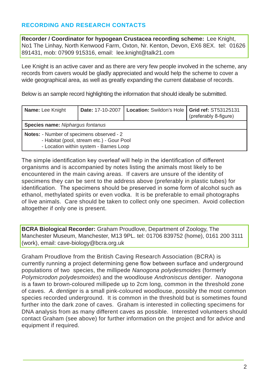## **RECORDING AND RESEARCH CONTACTS**

**Recorder / Coordinator for hypogean Crustacea recording scheme:** Lee Knight, No1 The Linhay, North Kenwood Farm, Oxton, Nr. Kenton, Devon, EX6 8EX. tel: 01626 891431, mob: 07909 915316, email: lee.knight@talk21.com

Lee Knight is an active caver and as there are very few people involved in the scheme, any records from cavers would be gladly appreciated and would help the scheme to cover a wide geographical area, as well as greatly expanding the current database of records.

Below is an sample record highlighting the information that should ideally be submitted.

| Name: Lee Knight                                                                                                                 |  | Date: 17-10-2007   Location: Swildon's Hole   Grid ref: ST53125131 | (preferably 8-figure) |  |
|----------------------------------------------------------------------------------------------------------------------------------|--|--------------------------------------------------------------------|-----------------------|--|
| Species name: Nipharqus fontanus                                                                                                 |  |                                                                    |                       |  |
| Notes: - Number of specimens observed - 2<br>- Habitat (pool, stream etc.) - Gour Pool<br>- Location within system - Barnes Loop |  |                                                                    |                       |  |

The simple identification key overleaf will help in the identification of different organisms and is accompanied by notes listing the animals most likely to be encountered in the main caving areas. If cavers are unsure of the identity of specimens they can be sent to the address above (preferably in plastic tubes) for identification. The specimens should be preserved in some form of alcohol such as ethanol, methylated spirits or even vodka. It is be preferable to email photographs of live animals. Care should be taken to collect only one specimen. Avoid collection altogether if only one is present.

**BCRA Biological Recorder:** Graham Proudlove, Department of Zoology, The Manchester Museum, Manchester, M13 9PL. tel: 01706 839752 (home), 0161 200 3111 (work), email: cave-biology@bcra.org.uk

Graham Proudlove from the British Caving Research Association (BCRA) is currently running a project determining gene flow between surface and underground populations of two species, the millipede *Nanogona polydesmoides* (formerly *Polymicrodon polydesmoides*) and the woodlouse *Androniscus dentiger*. *Nanogona* is a fawn to brown-coloured millipede up to 2cm long, common in the threshold zone of caves. *A. dentiger* is a small pink-coloured woodlouse, possibly the most common species recorded underground. It is common in the threshold but is sometimes found further into the dark zone of caves. Graham is interested in collecting specimens for DNA analysis from as many different caves as possible. Interested volunteers should contact Graham (see above) for further information on the project and for advice and equipment if required.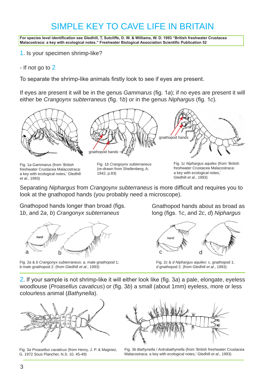# SIMPLE KEY TO CAVE LIFE IN BRITAIN

**For species level identification see Gledhill, T, Sutcliffe, D. W. & Williams, W. D. 1993 "British freshwater Crustacea Malacostraca: a key with ecological notes." Freshwater Biological Association Scientific Publication 52**

1. Is your specimen shrimp-like?

- If not go to 2

To separate the shrimp-like animals firstly look to see if eyes are present.

If eyes are present it will be in the genus *Gammarus* (fig. 1*a*); if no eyes are present it will either be *Crangoynx subterraneus* (fig. 1*b*) or in the genus *Niphargus* (fig. 1*c*)*.*



Fig. 1*a Gammarus* (from 'British freshwater Crustacea Malacostraca: a key with ecological notes,' Gledhill *et al*., 1993)

Fig. 1*b Crangoynx subterraneus* (re-drawn from Shellenberg, A. 1942, p.83)

Fig. 1*c Niphargus aquilex* (from 'British freshwater Crustacea Malacostraca: a key with ecological notes,' Gledhill *et al*., 1993)

Separating *Niphargus* from *Crangoynx subterraneus* is more difficult and requires you to look at the gnathopod hands (you probably need a microscope).

Gnathopod hands longer than broad (figs. 1*b*, and 2*a*, *b*) *Crangonyx subterraneus*



Fig. 2*a* & *b Crangonyx subterraneus*: *a*, male gnathopod 1; *b* male gnathopod 2. (from Gledhill *et al*., 1993)

Gnathopod hands about as broad as long (figs. 1*c*, and 2*c*, *d*) *Niphargus*



Fig. 2*c* & *d Niphargus aquilex*: *c*, gnathopod 1; *d* gnathopod 2. (from Gledhill *et al*., 1993)

2. If your sample is not shrimp-like it will either look like (fig. 3*a*) a pale, elongate, eyeless woodlouse (*Proasellus cavaticus*) or (fig. 3*b*) a small (about 1mm) eyeless, more or less colourless animal (*Bathynella*).



Fig. 3*a Proasellus cavaticus* (from Henry, J. P. & Magniez, G. 1972 Sous Plancher, N.S. 10, 45-49)



Fig. 3*b Bathynella / Antrobathynella* (from 'British freshwater Crustacea Malacostraca: a key with ecological notes,' Gledhill *et al*., 1993)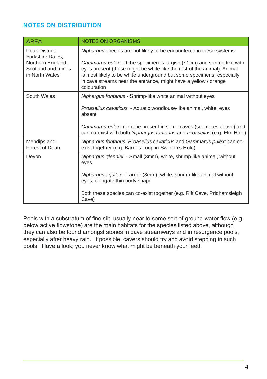## **NOTES ON DISTRIBUTION**

| <b>AREA</b>                                                                                     | <b>NOTES ON ORGANISMS</b>                                                                                                                                                                                                                                                                                                                                                              |  |
|-------------------------------------------------------------------------------------------------|----------------------------------------------------------------------------------------------------------------------------------------------------------------------------------------------------------------------------------------------------------------------------------------------------------------------------------------------------------------------------------------|--|
| Peak District,<br>Yorkshire Dales,<br>Northern England,<br>Scotland and mines<br>in North Wales | Niphargus species are not likely to be encountered in these systems<br>Gammarus pulex - If the specimen is largish $(-1cm)$ and shrimp-like with<br>eyes present (these might be white like the rest of the animal). Animal<br>is most likely to be white underground but some specimens, especially<br>in cave streams near the entrance, might have a yellow / orange<br>colouration |  |
| South Wales                                                                                     | Niphargus fontanus - Shrimp-like white animal without eyes<br>Proasellus cavaticus - Aquatic woodlouse-like animal, white, eyes<br>absent<br>Gammarus pulex might be present in some caves (see notes above) and<br>can co-exist with both Niphargus fontanus and Proasellus (e.g. Elm Hole)                                                                                           |  |
| Mendips and<br>Forest of Dean                                                                   | Niphargus fontanus, Proasellus cavaticus and Gammarus pulex; can co-<br>exist together (e.g. Barnes Loop in Swildon's Hole)                                                                                                                                                                                                                                                            |  |
| Devon                                                                                           | Niphargus glenniei - Small (3mm), white, shrimp-like animal, without<br>eyes<br>Niphargus aquilex - Larger (8mm), white, shrimp-like animal without<br>eyes, elongate thin body shape<br>Both these species can co-exist together (e.g. Rift Cave, Pridhamsleigh<br>Cave)                                                                                                              |  |

Pools with a substratum of fine silt, usually near to some sort of ground-water flow (e.g. below active flowstone) are the main habitats for the species listed above, although they can also be found amongst stones in cave streamways and in resurgence pools, especially after heavy rain. If possible, cavers should try and avoid stepping in such pools. Have a look; you never know what might be beneath your feet!!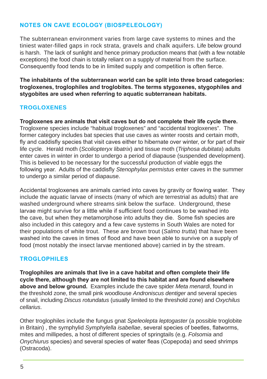## **NOTES ON CAVE ECOLOGY (BIOSPELEOLOGY)**

The subterranean environment varies from large cave systems to mines and the tiniest water-filled gaps in rock strata, gravels and chalk aquifers. Life below ground is harsh. The lack of sunlight and hence primary production means that (with a few notable exceptions) the food chain is totally reliant on a supply of material from the surface. Consequently food tends to be in limited supply and competition is often fierce.

**The inhabitants of the subterranean world can be split into three broad categories: trogloxenes, troglophiles and troglobites. The terms stygoxenes, stygophiles and stygobites are used when referring to aquatic subterranean habitats.**

## **TROGLOXENES**

**Trogloxenes are animals that visit caves but do not complete their life cycle there.** Trogloxene species include "habitual trogloxenes" and "accidental trogloxenes". The former category includes bat species that use caves as winter roosts and certain moth, fly and caddisfly species that visit caves either to hibernate over winter, or for part of their life cycle. Herald moth (*Scoliopteryx libatrix*) and tissue moth (*Triphosa dubitata*) adults enter caves in winter in order to undergo a period of diapause (suspended development). This is believed to be necessary for the successful production of viable eggs the following year. Adults of the caddisfly *Stenophylax permistus* enter caves in the summer to undergo a similar period of diapause.

Accidental trogloxenes are animals carried into caves by gravity or flowing water. They include the aquatic larvae of insects (many of which are terrestrial as adults) that are washed underground where streams sink below the surface. Underground, these larvae might survive for a little while if sufficient food continues to be washed into the cave, but when they metamorphose into adults they die. Some fish species are also included in this category and a few cave systems in South Wales are noted for their populations of white trout. These are brown trout (*Salmo trutta*) that have been washed into the caves in times of flood and have been able to survive on a supply of food (most notably the insect larvae mentioned above) carried in by the stream.

## **TROGLOPHILES**

**Troglophiles are animals that live in a cave habitat and often complete their life cycle there, although they are not limited to this habitat and are found elsewhere above and below ground.** Examples include the cave spider *Meta menardi*, found in the threshold zone, the small pink woodlouse *Androniscus dentiger* and several species of snail, including *Discus rotundatus* (usually limited to the threshold zone) and *Oxychilus cellarius*.

Other troglophiles include the fungus gnat *Speleolepta leptogaster* (a possible troglobite in Britain) , the symphylid *Symphylella isabellae*, several species of beetles, flatworms, mites and millipedes, a host of different species of springtails (e.g. *Folsomia* and *Onychiurus* species) and several species of water fleas (Copepoda) and seed shrimps (Ostracoda).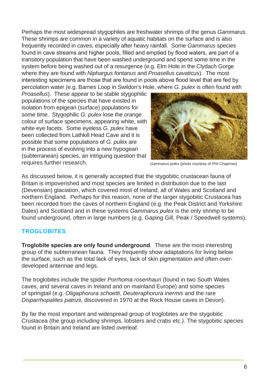Perhaps the most widespread stygophiles are freshwater shrimps of the genus *Gammarus*. These shrimps are common in a variety of aquatic habitats on the surface and is also frequently recorded in caves, especially after heavy rainfall. Some *Gammarus* species found in cave streams and higher pools, filled and emptied by flood waters, are part of a transitory population that have been washed underground and spend some time in the system before being washed out of a resurgence (e.g. Elm Hole in the Clydach Gorge where they are found with *Niphargus fontanus* and *Proasellus cavaticus*). The most interesting specimens are those that are found in pools above flood level that are fed by percolation water (e.g. Barnes Loop in Swildon's Hole, where *G. pulex* is often found with

*Proasellus*). These appear to be stable stygophilic populations of the species that have existed in isolation from epigean (surface) populations for some time. Stygophilic *G. pulex* lose the orange colour of surface specimens, appearing white, with white eye facets. Some eyeless *G. pulex* have been collected from Lathkill Head Cave and it is possible that some populations of *G. pulex* are in the process of evolving into a new hypogean (subterranean) species, an intriguing question that requires further research.



*Gammarus pulex* (photo courtesy of Phil Chapman)

As discussed below, it is generally accepted that the stygobitic crustacean fauna of Britain is impoverished and most species are limited in distribution due to the last (Devensian) glaciation, which covered most of Ireland, all of Wales and Scotland and northern England. Perhaps for this reason, none of the larger stygobitic Crustacea has been recorded from the caves of northern England (e.g. the Peak District and Yorkshire Dales) and Scotland and in these systems *Gammarus pulex* is the only shrimp to be found underground, often in large numbers (e.g. Gaping Gill, Peak / Speedwell systems).

#### **TROGLOBITES**

**Troglobite species are only found underground**. These are the most interesting group of the subterranean fauna. They frequently show adaptations for living below the surface, such as the total lack of eyes, lack of skin pigmentation and often overdeveloped antennae and legs.

The troglobites include the spider *Porrhoma rosenhauri* (found in two South Wales caves, and several caves in Ireland and on mainland Europe) and some species of springtail (e.g. *Oligaphorura schoetti*, *Deuteraphorura inermis* and the rare *Disparrhopalites patrizii*, discovered in 1970 at the Rock House caves in Devon).

By far the most important and widespread group of troglobites are the stygobitic Crustacea (the group including shrimps, lobsters and crabs etc.). The stygobitic species found in Britain and Ireland are listed overleaf.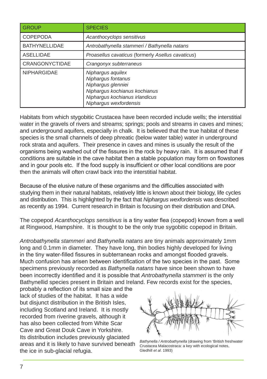| <b>GROUP</b>          | <b>SPECIES</b>                                                                                                                                             |  |
|-----------------------|------------------------------------------------------------------------------------------------------------------------------------------------------------|--|
| <b>COPEPODA</b>       | Acanthocyclops sensitivus                                                                                                                                  |  |
| <b>BATHYNELLIDAE</b>  | Antrobathynella stammeri / Bathynella natans                                                                                                               |  |
| <b>ASELLIDAE</b>      | Proasellus cavaticus (formerly Asellus cavaticus)                                                                                                          |  |
| <b>CRANGONYCTIDAE</b> | Crangonyx subterraneus                                                                                                                                     |  |
| <b>NIPHARGIDAE</b>    | Niphargus aquilex<br>Niphargus fontanus<br>Niphargus glenniei<br>Nipharqus kochianus kochianus<br>Niphargus kochianus irlandicus<br>Niphargus wexfordensis |  |

Habitats from which stygobitic Crustacea have been recorded include wells; the interstitial water in the gravels of rivers and streams; springs; pools and streams in caves and mines; and underground aquifers, especially in chalk. It is believed that the true habitat of these species is the small channels of deep phreatic (below water table) water in underground rock strata and aquifers. Their presence in caves and mines is usually the result of the organisms being washed out of the fissures in the rock by heavy rain. It is assumed that if conditions are suitable in the cave habitat then a stable population may form on flowstones and in gour pools etc. If the food supply is insufficient or other local conditions are poor then the animals will often crawl back into the interstitial habitat.

Because of the elusive nature of these organisms and the difficulties associated with studying them in their natural habitats, relatively little is known about their biology, life cycles and distribution. This is highlighted by the fact that *Niphargus wexfordensis* was described as recently as 1994. Current research in Britain is focusing on their distribution and DNA.

The copepod *Acanthocyclops sensitivus* is a tiny water flea (copepod) known from a well at Ringwood, Hampshire. It is thought to be the only true sygobitic copepod in Britain.

*Antrobathynella stammeri* and *Bathynella natans* are tiny animals approximately 1mm long and 0.1mm in diameter. They have long, thin bodies highly developed for living in the tiny water-filled fissures in subterranean rocks and amongst flooded gravels. Much confusion has arisen between identification of the two species in the past. Some specimens previously recorded as *Bathynella natans* have since been shown to have been incorrectly identified and it is possible that *Antrobathynella stammeri* is the only Bathynellid species present in Britain and Ireland. Few records exist for the species,

probably a reflection of its small size and the lack of studies of the habitat. It has a wide but disjunct distribution in the British Isles, including Scotland and Ireland. It is mostly recorded from riverine gravels, although it has also been collected from White Scar Cave and Great Douk Cave in Yorkshire. Its distribution includes previously glaciated areas and it is likely to have survived beneath the ice in sub-glacial refugia.



*Bathynella / Antrobathynella* (drawing from 'British freshwater Crustacea Malacostraca: a key with ecological notes, Gledhill *et al*. 1993)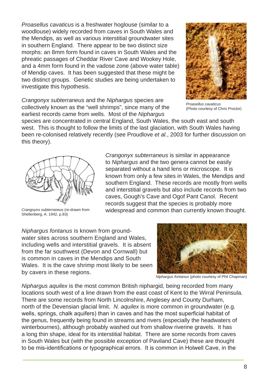*Proasellus cavaticus* is a freshwater hoglouse (similar to a woodlouse) widely recorded from caves in South Wales and the Mendips, as well as various interstitial groundwater sites in southern England. There appear to be two distinct size morphs: an 8mm form found in caves in South Wales and the phreatic passages of Cheddar River Cave and Wookey Hole, and a 4mm form found in the vadose zone (above water table) of Mendip caves. It has been suggested that these might be two distinct groups. Genetic studies are being undertaken to investigate this hypothesis.



*Crangonyx subterraneus* and the *Niphargus* species are collectively known as the "well shrimps", since many of the earliest records came from wells. Most of the *Niphargus*

*Proasellus cavaticus* (Photo courtesy of Chris Proctor)

species are concentrated in central England, South Wales, the south east and south west. This is thought to follow the limits of the last glaciation, with South Wales having been re-colonised relatively recently (see Proudlove *et al.*, 2003 for further discussion on this theory).



*Crangoynx subterraneus* (re-drawn from Shellenberg, A. 1942, p.83)

*Crangonyx subterraneus* is similar in appearance to *Niphargus* and the two genera cannot be easily separated without a hand lens or microscope. It is known from only a few sites in Wales, the Mendips and southern England. These records are mostly from wells and interstitial gravels but also include records from two caves, Gough's Cave and Ogof Pant Canol. Recent records suggest that the species is probably more widespread and common than currently known thought.

*Niphargus fontanus* is known from groundwater sites across southern England and Wales. including wells and interstitial gravels. It is absent from the far southwest (Devon and Cornwall) but is common in caves in the Mendips and South Wales. It is the cave shrimp most likely to be seen by cavers in these regions.



*Niphargus fontanus* (photo courtesy of Phil Chapman)

*Niphargus aquilex* is the most common British niphargid, being recorded from many locations south west of a line drawn from the east coast of Kent to the Wirral Peninsula. There are some records from North Lincolnshire, Anglesey and County Durham, north of the Devensian glacial limit. *N. aquilex* is more common in groundwater (e.g. wells, springs, chalk aquifers) than in caves and has the most superficial habitat of the genus, frequently being found in streams and rivers (especially the headwaters of winterbournes), although probably washed out from shallow riverine gravels. It has a long thin shape, ideal for its interstitial habitat. There are some records from caves in South Wales but (with the possible exception of Paviland Cave) these are thought to be mis-identifications or typographical errors. It is common in Holwell Cave, in the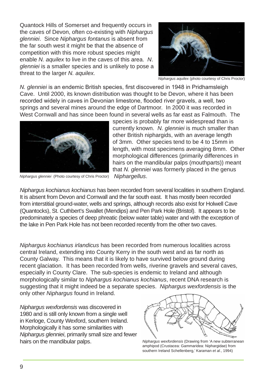Quantock Hills of Somerset and frequently occurs in the caves of Devon, often co-existing with *Niphargus glenniei*. Since *Niphargus fontanus* is absent from the far south west it might be that the absence of competition with this more robust species might enable *N. aquilex* to live in the caves of this area. *N*. *glenniei* is a smaller species and is unlikely to pose a threat to the larger *N. aquilex.*



*Niphargus aquilex* (photo courtesy of Chris Proctor)

*N. glenniei* is an endemic British species, first discovered in 1948 in Pridhamsleigh Cave. Until 2000, its known distribution was thought to be Devon, where it has been recorded widely in caves in Devonian limestone, flooded river gravels, a well, two springs and several mines around the edge of Dartmoor. In 2000 it was recorded in West Cornwall and has since been found in several wells as far east as Falmouth. The



species is probably far more widespread than is currently known. *N. glenniei* is much smaller than other British niphargids, with an average length of 3mm. Other species tend to be 4 to 15mm in length, with most specimens averaging 8mm. Other morphological differences (primarily differences in hairs on the mandibular palps (mouthparts)) meant that *N. glenniei* was formerly placed in the genus

*Niphargellus*. *Niphargus glenniei* (Photo courtesy of Chris Proctor)

*Niphargus kochianus kochianus* has been recorded from several localities in southern England. It is absent from Devon and Cornwall and the far south east. It has mostly been recorded from interstitial ground-water, wells and springs, although records also exist for Holwell Cave (Quantocks), St. Cuthbert's Swallet (Mendips) and Pen Park Hole (Bristol). It appears to be predominately a species of deep phreatic (below water table) water and with the exception of the lake in Pen Park Hole has not been recorded recently from the other two caves.

*Niphargus kochianus irlandicus* has been recorded from numerous localities across central Ireland, extending into County Kerry in the south west and as far north as County Galway. This means that it is likely to have survived below ground during recent glaciation. It has been recorded from wells, riverine gravels and several caves, especially in County Clare. The sub-species is endemic to Ireland and although morphologically similar to *Niphargus kochianus kochianus*, recent DNA research is suggesting that it might indeed be a separate species. *Niphargus wexfordensis* is the only other *Niphargus* found in Ireland.

*Niphargus wexfordensis* was discovered in 1980 and is still only known from a single well in Kerloge, County Wexford, southern Ireland. Morphologically it has some similarities with *Niphargus glenniei*, primarily small size and fewer hairs on the mandibular palps.



*Niphargus wexfordensis* (Drawing from 'A new subterranean amphipod (Crustacea: Gammaridea: Niphargidae) from southern Ireland Schellenberg,' Karaman *et al*., 1994)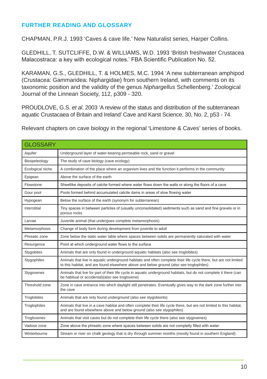#### **FURTHER READING AND GLOSSARY**

CHAPMAN, P.R.J. 1993 'Caves & cave life.' New Naturalist series, Harper Collins.

GLEDHILL, T. SUTCLIFFE, D.W. & WILLIAMS, W.D. 1993 'British freshwater Crustacea Malacostraca: a key with ecological notes.' FBA Scientific Publication No. 52.

KARAMAN, G.S., GLEDHILL, T. & HOLMES, M.C. 1994 'A new subterranean amphipod (Crustacea: Gammaridea: Niphargidae) from southern Ireland, with comments on its taxonomic position and the validity of the genus *Niphargellus* Schellenberg.' Zoological Journal of the Linnean Society, 112, p309 - 320.

PROUDLOVE, G.S. *et al*. 2003 'A review of the status and distribution of the subterranean aquatic Crustacaea of Britain and Ireland' Cave and Karst Science, 30, No. 2, p53 - 74.

Relevant chapters on cave biology in the regional 'Limestone & Caves' series of books.

| <b>GLOSSARY</b>  |                                                                                                                                                                                                             |
|------------------|-------------------------------------------------------------------------------------------------------------------------------------------------------------------------------------------------------------|
| Aquifer          | Underground layer of water-bearing permeable rock, sand or gravel                                                                                                                                           |
| Biospeleology    | The study of cave biology (cave ecology)                                                                                                                                                                    |
| Ecological niche | A combination of the place where an organism lives and the function it performs in the community                                                                                                            |
| Epigean          | Above the surface of the earth                                                                                                                                                                              |
| Flowstone        | Sheetlike deposits of calcite formed where water flows down the walls or along the floors of a cave                                                                                                         |
| Gour pool        | Pools formed behind accumulated calcite dams in areas of slow flowing water                                                                                                                                 |
| Hypogean         | Below the surface of the earth (synonym for subterranean)                                                                                                                                                   |
| Interstitial     | Tiny spaces in between particles of (usually unconsolidated) sediments such as sand and fine gravels or in<br>porous rocks                                                                                  |
| Larvae           | Juvenile animal (that undergoes complete metamorphosis)                                                                                                                                                     |
| Metamorphosis    | Change of body form during development from juvenile to adult                                                                                                                                               |
| Phreatic zone    | Zone below the static water table where spaces between solids are permanently saturated with water                                                                                                          |
| Resurgence       | Point at which underground water flows to the surface                                                                                                                                                       |
| Stygobites       | Animals that are only found in underground aquatic habitats (also see troglobites)                                                                                                                          |
| Stygophiles      | Animals that live in aquatic underground habitats and often complete their life cycle there, but are not limited<br>to this habitat, and are found elsewhere above and below ground (also see troglophiles) |
| Stygoxenes       | Animals that live for part of their life cycle in aquatic underground habitats, but do not complete it there (can<br>be habitual or accidental)(also see trogloxene)                                        |
| Threshold zone   | Zone in cave entrance into which daylight still penetrates. Eventually gives way to the dark zone further into<br>the cave                                                                                  |
| Troglobites      | Animals that are only found underground (also see stygobionts)                                                                                                                                              |
| Troglophiles     | Animals that live in a cave habitat and often complete their life cycle there, but are not limited to this habitat,<br>and are found elsewhere above and below ground (also see stygophiles)                |
| Trogloxenes      | Animals that visit caves but do not complete their life cycle there (also see stygoxenes)                                                                                                                   |
| Vadose zone      | Zone above the phreatic zone where spaces between solids are not completly filled with water                                                                                                                |
| Winterbourne     | Stream or river on chalk geology that is dry through summer months (mostly found in southern England)                                                                                                       |